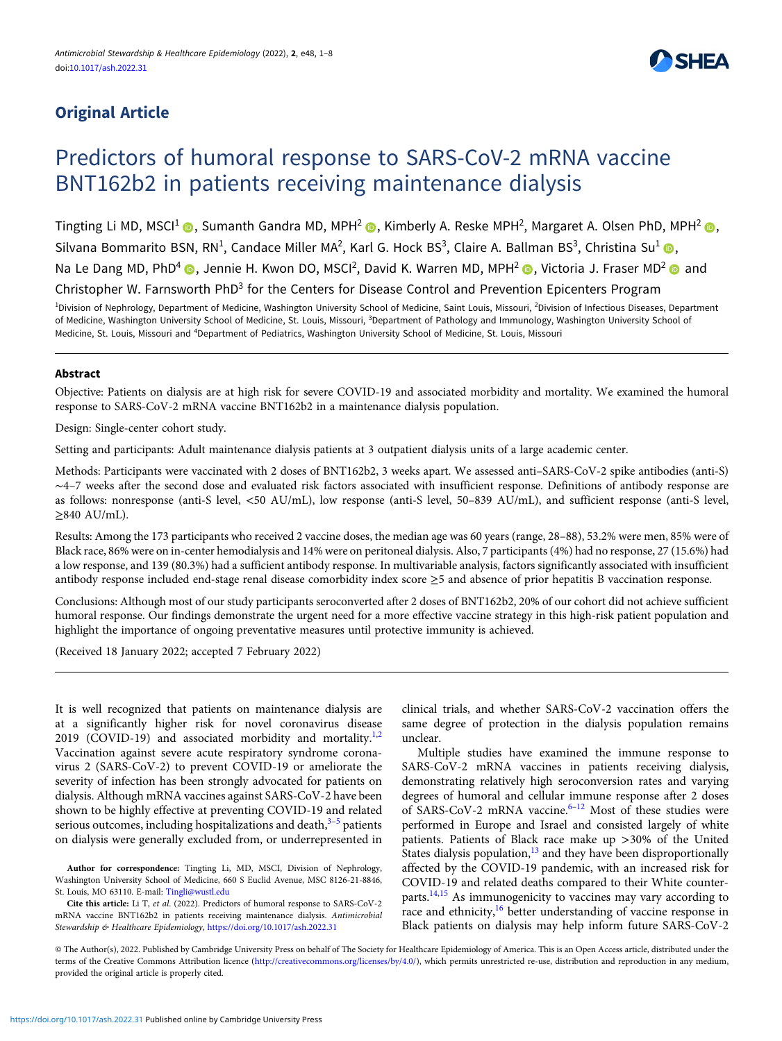# Original Article



# Predictors of humoral response to SARS-CoV-2 mRNA vaccine BNT162b2 in patients receiving maintenance dialysis

Tingting Li MD, MSCI<sup>1</sup> (D, Sumanth Gandra MD, MPH<sup>2</sup> (D, Kimberly A. Reske MPH<sup>2</sup>, Margaret A. Olsen PhD, MPH<sup>2</sup> (D, Silvana Bommarito BSN, RN<sup>1</sup>, Candace Miller MA<sup>2</sup>, Karl G. Hock BS<sup>3</sup>, Claire A. Ballman BS<sup>3</sup>, Christina Su<sup>1</sup> (D, Na Le Dang MD, PhD<sup>4</sup> (D), Jennie H. Kwon DO, MSCI<sup>2</sup>, David K. Warren MD, MPH<sup>2</sup> (D), Victoria J. Fraser MD<sup>2</sup> (D) and Christopher W. Farnsworth PhD3 for the Centers for Disease Control and Prevention Epicenters Program

<sup>1</sup>Division of Nephrology, Department of Medicine, Washington University School of Medicine, Saint Louis, Missouri, <sup>2</sup>Division of Infectious Diseases, Department of Medicine, Washington University School of Medicine, St. Louis, Missouri, <sup>3</sup>Department of Pathology and Immunology, Washington University School of Medicine, St. Louis, Missouri and <sup>4</sup>Department of Pediatrics, Washington University School of Medicine, St. Louis, Missouri

# Abstract

Objective: Patients on dialysis are at high risk for severe COVID-19 and associated morbidity and mortality. We examined the humoral response to SARS-CoV-2 mRNA vaccine BNT162b2 in a maintenance dialysis population.

Design: Single-center cohort study.

Setting and participants: Adult maintenance dialysis patients at 3 outpatient dialysis units of a large academic center.

Methods: Participants were vaccinated with 2 doses of BNT162b2, 3 weeks apart. We assessed anti–SARS-CoV-2 spike antibodies (anti-S) ∼4–7 weeks after the second dose and evaluated risk factors associated with insufficient response. Definitions of antibody response are as follows: nonresponse (anti-S level, <50 AU/mL), low response (anti-S level, 50–839 AU/mL), and sufficient response (anti-S level,  $\geq$ 840 AU/mL).

Results: Among the 173 participants who received 2 vaccine doses, the median age was 60 years (range, 28–88), 53.2% were men, 85% were of Black race, 86% were on in-center hemodialysis and 14% were on peritoneal dialysis. Also, 7 participants (4%) had no response, 27 (15.6%) had a low response, and 139 (80.3%) had a sufficient antibody response. In multivariable analysis, factors significantly associated with insufficient antibody response included end-stage renal disease comorbidity index score ≥5 and absence of prior hepatitis B vaccination response.

Conclusions: Although most of our study participants seroconverted after 2 doses of BNT162b2, 20% of our cohort did not achieve sufficient humoral response. Our findings demonstrate the urgent need for a more effective vaccine strategy in this high-risk patient population and highlight the importance of ongoing preventative measures until protective immunity is achieved.

(Received 18 January 2022; accepted 7 February 2022)

It is well recognized that patients on maintenance dialysis are at a significantly higher risk for novel coronavirus disease [2](#page-6-0)019 (COVID-19) and associated morbidity and mortality.<sup>1,2</sup> Vaccination against severe acute respiratory syndrome coronavirus 2 (SARS-CoV-2) to prevent COVID-19 or ameliorate the severity of infection has been strongly advocated for patients on dialysis. Although mRNA vaccines against SARS-CoV-2 have been shown to be highly effective at preventing COVID-19 and related serious outcomes, including hospitalizations and death, $3-5$  $3-5$  $3-5$  patients on dialysis were generally excluded from, or underrepresented in

Author for correspondence: Tingting Li, MD, MSCI, Division of Nephrology, Washington University School of Medicine, 660 S Euclid Avenue, MSC 8126-21-8846, St. Louis, MO 63110. E-mail: [Tingli@wustl.edu](mailto:Tingli@wustl.edu)

Cite this article: Li T, et al. (2022). Predictors of humoral response to SARS-CoV-2 mRNA vaccine BNT162b2 in patients receiving maintenance dialysis. Antimicrobial Stewardship & Healthcare Epidemiology, <https://doi.org/10.1017/ash.2022.31>

clinical trials, and whether SARS-CoV-2 vaccination offers the same degree of protection in the dialysis population remains unclear.

Multiple studies have examined the immune response to SARS-CoV-2 mRNA vaccines in patients receiving dialysis, demonstrating relatively high seroconversion rates and varying degrees of humoral and cellular immune response after 2 doses of SARS-CoV-2 mRNA vaccine.<sup>[6](#page-6-0)-[12](#page-6-0)</sup> Most of these studies were performed in Europe and Israel and consisted largely of white patients. Patients of Black race make up >30% of the United States dialysis population,<sup>[13](#page-6-0)</sup> and they have been disproportionally affected by the COVID-19 pandemic, with an increased risk for COVID-19 and related deaths compared to their White counterparts. $14,15$  $14,15$  $14,15$  As immunogenicity to vaccines may vary according to race and ethnicity[,16](#page-6-0) better understanding of vaccine response in Black patients on dialysis may help inform future SARS-CoV-2

© The Author(s), 2022. Published by Cambridge University Press on behalf of The Society for Healthcare Epidemiology of America. This is an Open Access article, distributed under the terms of the Creative Commons Attribution licence ([http://creativecommons.org/licenses/by/4.0/\)](http://creativecommons.org/licenses/by/4.0/), which permits unrestricted re-use, distribution and reproduction in any medium, provided the original article is properly cited.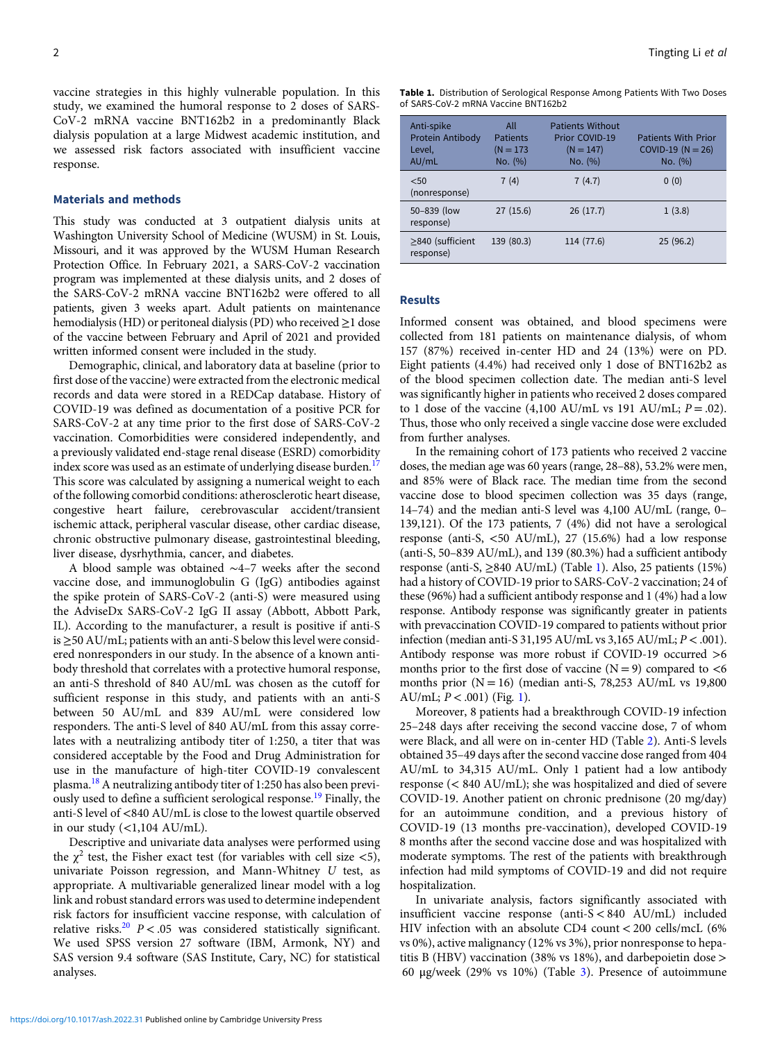vaccine strategies in this highly vulnerable population. In this study, we examined the humoral response to 2 doses of SARS-CoV-2 mRNA vaccine BNT162b2 in a predominantly Black dialysis population at a large Midwest academic institution, and we assessed risk factors associated with insufficient vaccine response.

#### Materials and methods

This study was conducted at 3 outpatient dialysis units at Washington University School of Medicine (WUSM) in St. Louis, Missouri, and it was approved by the WUSM Human Research Protection Office. In February 2021, a SARS-CoV-2 vaccination program was implemented at these dialysis units, and 2 doses of the SARS-CoV-2 mRNA vaccine BNT162b2 were offered to all patients, given 3 weeks apart. Adult patients on maintenance hemodialysis (HD) or peritoneal dialysis (PD) who received ≥1 dose of the vaccine between February and April of 2021 and provided written informed consent were included in the study.

Demographic, clinical, and laboratory data at baseline (prior to first dose of the vaccine) were extracted from the electronic medical records and data were stored in a REDCap database. History of COVID-19 was defined as documentation of a positive PCR for SARS-CoV-2 at any time prior to the first dose of SARS-CoV-2 vaccination. Comorbidities were considered independently, and a previously validated end-stage renal disease (ESRD) comorbidity index score was used as an estimate of underlying disease burden.<sup>[17](#page-6-0)</sup> This score was calculated by assigning a numerical weight to each of the following comorbid conditions: atherosclerotic heart disease, congestive heart failure, cerebrovascular accident/transient ischemic attack, peripheral vascular disease, other cardiac disease, chronic obstructive pulmonary disease, gastrointestinal bleeding, liver disease, dysrhythmia, cancer, and diabetes.

A blood sample was obtained ∼4–7 weeks after the second vaccine dose, and immunoglobulin G (IgG) antibodies against the spike protein of SARS-CoV-2 (anti-S) were measured using the AdviseDx SARS-CoV-2 IgG II assay (Abbott, Abbott Park, IL). According to the manufacturer, a result is positive if anti-S is  $\geq$ 50 AU/mL; patients with an anti-S below this level were considered nonresponders in our study. In the absence of a known antibody threshold that correlates with a protective humoral response, an anti-S threshold of 840 AU/mL was chosen as the cutoff for sufficient response in this study, and patients with an anti-S between 50 AU/mL and 839 AU/mL were considered low responders. The anti-S level of 840 AU/mL from this assay correlates with a neutralizing antibody titer of 1:250, a titer that was considered acceptable by the Food and Drug Administration for use in the manufacture of high-titer COVID-19 convalescent plasma.[18](#page-6-0) A neutralizing antibody titer of 1:250 has also been previ-ously used to define a sufficient serological response.<sup>[19](#page-6-0)</sup> Finally, the anti-S level of <840 AU/mL is close to the lowest quartile observed in our study  $\left(\langle 1,104 \text{ AU/mL}\right)$ .

Descriptive and univariate data analyses were performed using the  $\chi^2$  test, the Fisher exact test (for variables with cell size <5), univariate Poisson regression, and Mann-Whitney U test, as appropriate. A multivariable generalized linear model with a log link and robust standard errors was used to determine independent risk factors for insufficient vaccine response, with calculation of relative risks.<sup>[20](#page-6-0)</sup>  $P < .05$  was considered statistically significant. We used SPSS version 27 software (IBM, Armonk, NY) and SAS version 9.4 software (SAS Institute, Cary, NC) for statistical analyses.

|  |                                     | <b>Table 1.</b> Distribution of Serological Response Among Patients With Two Doses |  |  |
|--|-------------------------------------|------------------------------------------------------------------------------------|--|--|
|  | of SARS-CoV-2 mRNA Vaccine BNT162b2 |                                                                                    |  |  |

| Anti-spike<br>Protein Antibody<br>Level,<br>AU/mL | All<br><b>Patients</b><br>$(N = 173)$<br>No. (%) | <b>Patients Without</b><br>Prior COVID-19<br>$(N = 147)$<br>No. (%) | <b>Patients With Prior</b><br>COVID-19 ( $N = 26$ )<br>No. (%) |
|---------------------------------------------------|--------------------------------------------------|---------------------------------------------------------------------|----------------------------------------------------------------|
| < 50<br>(nonresponse)                             | 7(4)                                             | 7(4.7)                                                              | 0(0)                                                           |
| 50-839 (low<br>response)                          | 27(15.6)                                         | 26(17.7)                                                            | 1(3.8)                                                         |
| $\geq$ 840 (sufficient<br>response)               | 139 (80.3)                                       | 114 (77.6)                                                          | 25(96.2)                                                       |

# Results

Informed consent was obtained, and blood specimens were collected from 181 patients on maintenance dialysis, of whom 157 (87%) received in-center HD and 24 (13%) were on PD. Eight patients (4.4%) had received only 1 dose of BNT162b2 as of the blood specimen collection date. The median anti-S level was significantly higher in patients who received 2 doses compared to 1 dose of the vaccine (4,100 AU/mL vs 191 AU/mL;  $P = .02$ ). Thus, those who only received a single vaccine dose were excluded from further analyses.

In the remaining cohort of 173 patients who received 2 vaccine doses, the median age was 60 years (range, 28–88), 53.2% were men, and 85% were of Black race. The median time from the second vaccine dose to blood specimen collection was 35 days (range, 14–74) and the median anti-S level was 4,100 AU/mL (range, 0– 139,121). Of the 173 patients, 7 (4%) did not have a serological response (anti-S, <50 AU/mL), 27 (15.6%) had a low response (anti-S, 50–839 AU/mL), and 139 (80.3%) had a sufficient antibody response (anti-S,  $\geq$ 840 AU/mL) (Table 1). Also, 25 patients (15%) had a history of COVID-19 prior to SARS-CoV-2 vaccination; 24 of these (96%) had a sufficient antibody response and 1 (4%) had a low response. Antibody response was significantly greater in patients with prevaccination COVID-19 compared to patients without prior infection (median anti-S 31,195 AU/mL vs 3,165 AU/mL;  $P < .001$ ). Antibody response was more robust if COVID-19 occurred >6 months prior to the first dose of vaccine  $(N = 9)$  compared to  $\lt 6$ months prior  $(N = 16)$  (median anti-S, 78,253 AU/mL vs 19,800 AU/mL;  $P < .001$ ) (Fig. [1\)](#page-2-0).

Moreover, 8 patients had a breakthrough COVID-19 infection 25–248 days after receiving the second vaccine dose, 7 of whom were Black, and all were on in-center HD (Table [2](#page-3-0)). Anti-S levels obtained 35–49 days after the second vaccine dose ranged from 404 AU/mL to 34,315 AU/mL. Only 1 patient had a low antibody response (< 840 AU/mL); she was hospitalized and died of severe COVID-19. Another patient on chronic prednisone (20 mg/day) for an autoimmune condition, and a previous history of COVID-19 (13 months pre-vaccination), developed COVID-19 8 months after the second vaccine dose and was hospitalized with moderate symptoms. The rest of the patients with breakthrough infection had mild symptoms of COVID-19 and did not require hospitalization.

In univariate analysis, factors significantly associated with insufficient vaccine response (anti-S < 840 AU/mL) included HIV infection with an absolute CD4 count < 200 cells/mcL (6% vs 0%), active malignancy (12% vs 3%), prior nonresponse to hepatitis B (HBV) vaccination (38% vs 18%), and darbepoietin dose > 60 μg/week (29% vs 10%) (Table [3\)](#page-4-0). Presence of autoimmune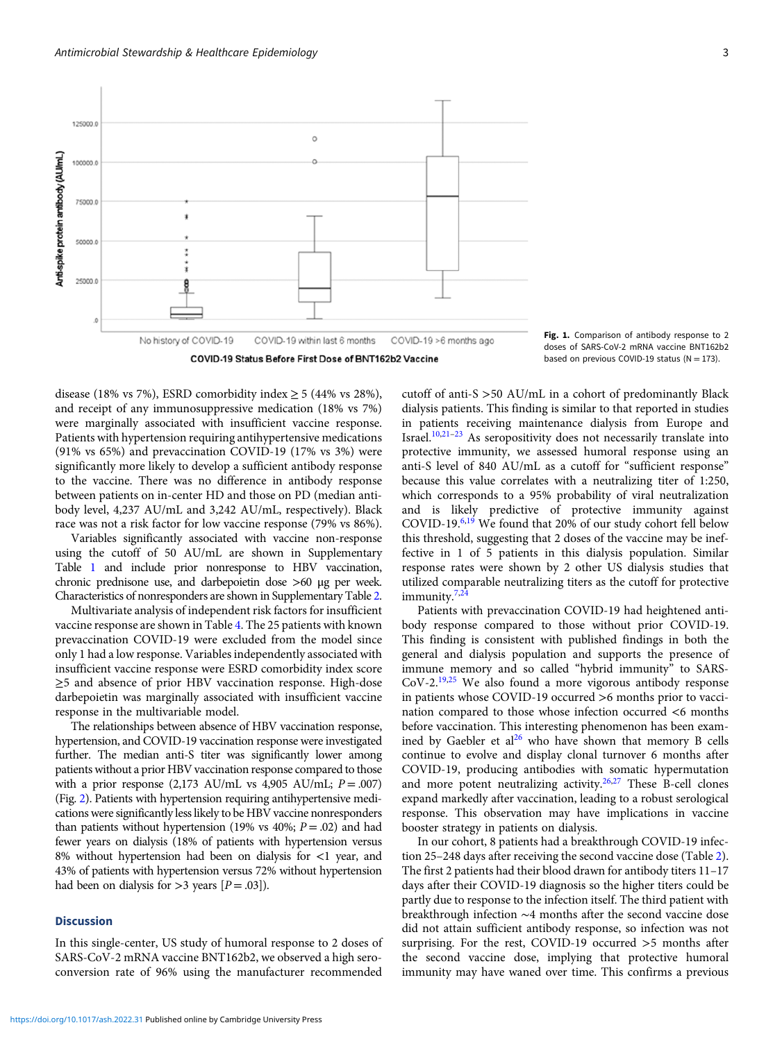<span id="page-2-0"></span>125000.0

100000

75000

sonon

25000

Anti-spike protein antibody (AU/mL)







disease (18% vs 7%), ESRD comorbidity index  $\geq$  5 (44% vs 28%), and receipt of any immunosuppressive medication (18% vs 7%) were marginally associated with insufficient vaccine response. Patients with hypertension requiring antihypertensive medications (91% vs 65%) and prevaccination COVID-19 (17% vs 3%) were significantly more likely to develop a sufficient antibody response to the vaccine. There was no difference in antibody response between patients on in-center HD and those on PD (median antibody level, 4,237 AU/mL and 3,242 AU/mL, respectively). Black race was not a risk factor for low vaccine response (79% vs 86%).

Variables significantly associated with vaccine non-response using the cutoff of 50 AU/mL are shown in Supplementary Table [1](https://doi.org/10.1017/ash.2022.31) and include prior nonresponse to HBV vaccination, chronic prednisone use, and darbepoietin dose >60 μg per week. Characteristics of nonresponders are shown in Supplementary Table [2.](https://doi.org/10.1017/ash.2022.31)

Multivariate analysis of independent risk factors for insufficient vaccine response are shown in Table [4](#page-5-0). The 25 patients with known prevaccination COVID-19 were excluded from the model since only 1 had a low response. Variables independently associated with insufficient vaccine response were ESRD comorbidity index score ≥5 and absence of prior HBV vaccination response. High-dose darbepoietin was marginally associated with insufficient vaccine response in the multivariable model.

The relationships between absence of HBV vaccination response, hypertension, and COVID-19 vaccination response were investigated further. The median anti-S titer was significantly lower among patients without a prior HBV vaccination response compared to those with a prior response  $(2,173 \text{ AU/mL}$  vs  $4,905 \text{ AU/mL}$ ;  $P = .007$ ) (Fig. [2\)](#page-6-0). Patients with hypertension requiring antihypertensive medications were significantly less likely to be HBV vaccine nonresponders than patients without hypertension (19% vs 40%;  $P = .02$ ) and had fewer years on dialysis (18% of patients with hypertension versus 8% without hypertension had been on dialysis for <1 year, and 43% of patients with hypertension versus 72% without hypertension had been on dialysis for  $>$ 3 years  $[P=.03]$ ).

### **Discussion**

In this single-center, US study of humoral response to 2 doses of SARS-CoV-2 mRNA vaccine BNT162b2, we observed a high seroconversion rate of 96% using the manufacturer recommended

cutoff of anti-S >50 AU/mL in a cohort of predominantly Black dialysis patients. This finding is similar to that reported in studies in patients receiving maintenance dialysis from Europe and Israel. $10,21-23$  $10,21-23$  $10,21-23$  As seropositivity does not necessarily translate into protective immunity, we assessed humoral response using an anti-S level of 840 AU/mL as a cutoff for "sufficient response" because this value correlates with a neutralizing titer of 1:250, which corresponds to a 95% probability of viral neutralization and is likely predictive of protective immunity against COVID-19.[6,19](#page-6-0) We found that 20% of our study cohort fell below this threshold, suggesting that 2 doses of the vaccine may be ineffective in 1 of 5 patients in this dialysis population. Similar response rates were shown by 2 other US dialysis studies that utilized comparable neutralizing titers as the cutoff for protective immunity. $7.24$  $7.24$ 

Patients with prevaccination COVID-19 had heightened antibody response compared to those without prior COVID-19. This finding is consistent with published findings in both the general and dialysis population and supports the presence of immune memory and so called "hybrid immunity" to SARS- $CoV-2.<sup>19,25</sup>$  $CoV-2.<sup>19,25</sup>$  $CoV-2.<sup>19,25</sup>$  $CoV-2.<sup>19,25</sup>$  We also found a more vigorous antibody response in patients whose COVID-19 occurred >6 months prior to vaccination compared to those whose infection occurred <6 months before vaccination. This interesting phenomenon has been examined by Gaebler et  $al^{26}$  $al^{26}$  $al^{26}$  who have shown that memory B cells continue to evolve and display clonal turnover 6 months after COVID-19, producing antibodies with somatic hypermutation and more potent neutralizing activity.<sup>[26](#page-7-0),[27](#page-7-0)</sup> These  $B$ -cell clones expand markedly after vaccination, leading to a robust serological response. This observation may have implications in vaccine booster strategy in patients on dialysis.

In our cohort, 8 patients had a breakthrough COVID-19 infection 25–248 days after receiving the second vaccine dose (Table [2\)](#page-3-0). The first 2 patients had their blood drawn for antibody titers 11–17 days after their COVID-19 diagnosis so the higher titers could be partly due to response to the infection itself. The third patient with breakthrough infection ∼4 months after the second vaccine dose did not attain sufficient antibody response, so infection was not surprising. For the rest, COVID-19 occurred >5 months after the second vaccine dose, implying that protective humoral immunity may have waned over time. This confirms a previous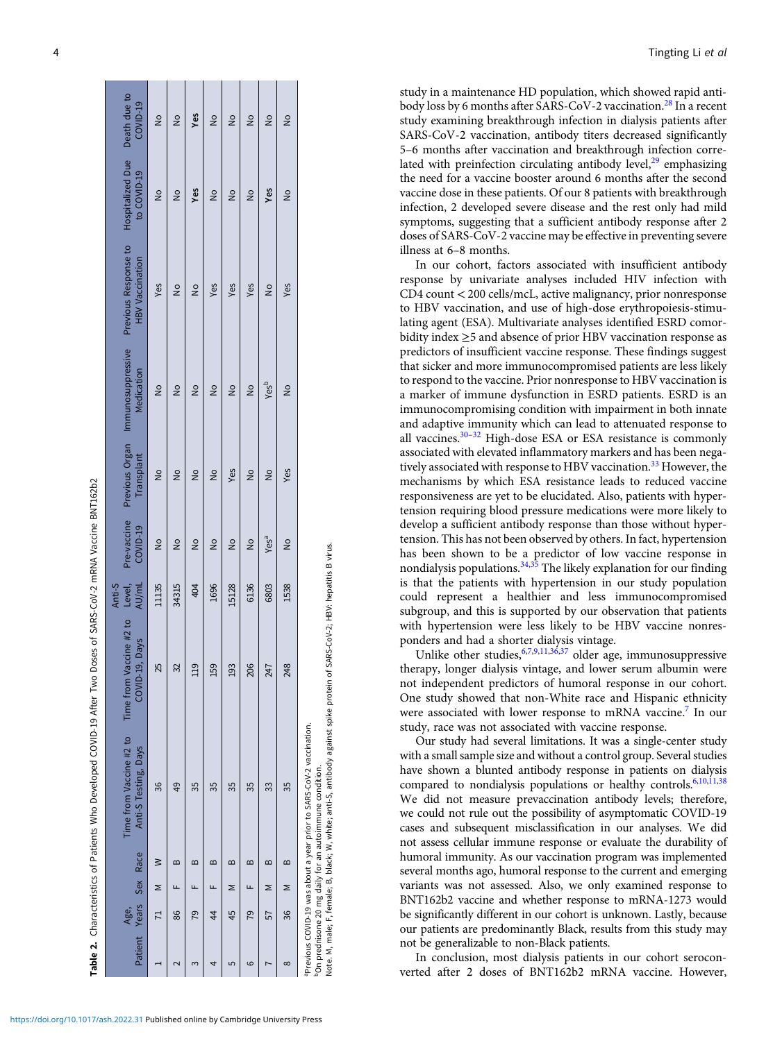|        | Death due to<br>COVID-19                        | $\frac{1}{2}$ | $\frac{1}{2}$  | Yes           | $\frac{1}{2}$ | $\frac{1}{2}$ | $\frac{1}{2}$ | $\frac{1}{2}$    | $\frac{1}{2}$ |                                                                                                                                                                                                                                                    |
|--------|-------------------------------------------------|---------------|----------------|---------------|---------------|---------------|---------------|------------------|---------------|----------------------------------------------------------------------------------------------------------------------------------------------------------------------------------------------------------------------------------------------------|
|        | Hospitalized Due<br>to COVID-19                 | $\frac{1}{2}$ | $\frac{1}{2}$  | Yes           | $\frac{1}{2}$ | $\frac{1}{2}$ | $\frac{1}{2}$ | Yes              | $\frac{1}{2}$ |                                                                                                                                                                                                                                                    |
|        | Previous Response to<br><b>HBV Vaccination</b>  | Yes           | $\frac{1}{2}$  | $\frac{1}{2}$ | Yes           | Yes           | Yes           | $\frac{1}{2}$    | Yes           |                                                                                                                                                                                                                                                    |
|        | Previous Organ Immunosuppressive<br>Medication  | $\frac{1}{2}$ | $\frac{1}{2}$  | $\frac{1}{2}$ | $\frac{1}{2}$ | $\frac{1}{2}$ | $\frac{1}{2}$ | Yes <sup>b</sup> | $\frac{1}{2}$ |                                                                                                                                                                                                                                                    |
|        | Transplant                                      | $\frac{1}{2}$ | $\frac{1}{2}$  | $\frac{1}{2}$ | $\frac{1}{2}$ | Yes           | $\frac{1}{2}$ | $\frac{1}{2}$    | Yes           |                                                                                                                                                                                                                                                    |
|        | Pre-vaccine<br>COVID-19                         | $\frac{1}{2}$ | $\frac{1}{2}$  | $\frac{1}{2}$ | $\frac{1}{2}$ | $\frac{1}{2}$ | $\frac{1}{2}$ | Yesa             | $\frac{1}{2}$ |                                                                                                                                                                                                                                                    |
| Anti-S | Level,<br>AU/mL                                 | 11135         | 34315          | 404           | 1696          | 15128         | 6136          | 6803             | 1538          |                                                                                                                                                                                                                                                    |
|        | accine #2 to<br>COVID-19, Days<br>Time from Va  | 55            | 32             | 119           | 159           | 193           | 206           | 247              | 248           | SARS-CoV-2; HBV: hepatitis B virus.                                                                                                                                                                                                                |
|        | Time from Vaccine #2 to<br>Anti-S Testing, Days | 36            | $\frac{49}{5}$ | 35            | 35            | 35            | 35            | 33               | 35            | Note. M, male; F, female; B, black; W, white; anti-S, antibody against spike protein of<br><sup>a</sup> Previous COVID-19 was about a year prior to SARS-CoV-2 vaccination.<br><sup>b</sup> On prednisone 20 mg daily for an autoimmune condition. |
|        |                                                 | ℥             | ≃              | ≃             | ≃             | ≃             | ≃             | ≃                | ≃             |                                                                                                                                                                                                                                                    |
|        |                                                 | Σ             |                |               |               | ⋝             |               | Σ                | Σ             |                                                                                                                                                                                                                                                    |
|        | Age,                                            |               | 86             | 79            | 44            | 45            | 79            | 57               | 36            |                                                                                                                                                                                                                                                    |
|        | Patient Years Sex Race                          |               |                |               |               | 5             | ဖ             |                  | $\infty$      |                                                                                                                                                                                                                                                    |

<span id="page-3-0"></span>4 September 2016 and 2017 and 2018 and 2018 and 2018 and 2018 and 2019 and 2018 and 2019 and 2019 and 2019 and 2019 and 2019 and 2019 and 2019 and 2019 and 2019 and 2019 and 2019 and 2019 and 2019 and 2019 and 2019 and 201

study in a maintenance HD population, which showed rapid anti-body loss by 6 months after SARS-CoV-2 vaccination.<sup>[28](#page-7-0)</sup> In a recent study examining breakthrough infection in dialysis patients after SARS-CoV-2 vaccination, antibody titers decreased significantly 5–6 months after vaccination and breakthrough infection correlated with preinfection circulating antibody level, $29$  emphasizing the need for a vaccine booster around 6 months after the second vaccine dose in these patients. Of our 8 patients with breakthrough infection, 2 developed severe disease and the rest only had mild symptoms, suggesting that a sufficient antibody response after 2 doses of SARS-CoV-2 vaccine may be effective in preventing severe illness at 6–8 months.

In our cohort, factors associated with insufficient antibody response by univariate analyses included HIV infection with CD4 count < 200 cells/mcL, active malignancy, prior nonresponse to HBV vaccination, and use of high-dose erythropoiesis-stimulating agent (ESA). Multivariate analyses identified ESRD comorbidity index ≥5 and absence of prior HBV vaccination response as predictors of insufficient vaccine response. These findings suggest that sicker and more immunocompromised patients are less likely to respond to the vaccine. Prior nonresponse to HBV vaccination is a marker of immune dysfunction in ESRD patients. ESRD is an immunocompromising condition with impairment in both innate and adaptive immunity which can lead to attenuated response to all vaccines[.30](#page-7-0)–[32](#page-7-0) High-dose ESA or ESA resistance is commonly associated with elevated inflammatory markers and has been nega-tively associated with response to HBV vaccination.<sup>[33](#page-7-0)</sup> However, the mechanisms by which ESA resistance leads to reduced vaccine responsiveness are yet to be elucidated. Also, patients with hypertension requiring blood pressure medications were more likely to develop a sufficient antibody response than those without hypertension. This has not been observed by others. In fact, hypertension has been shown to be a predictor of low vaccine response in nondialysis populations. $34,35$  The likely explanation for our finding is that the patients with hypertension in our study population could represent a healthier and less immunocompromised subgroup, and this is supported by our observation that patients with hypertension were less likely to be HBV vaccine nonresponders and had a shorter dialysis vintage.

Unlike other studies,  $67,9,11,36,37$  $67,9,11,36,37$  $67,9,11,36,37$  $67,9,11,36,37$  $67,9,11,36,37$  $67,9,11,36,37$  older age, immunosuppressive therapy, longer dialysis vintage, and lower serum albumin were not independent predictors of humoral response in our cohort. One study showed that non-White race and Hispanic ethnicity were associated with lower response to mRNA vaccine.<sup>[7](#page-6-0)</sup> In our study, race was not associated with vaccine response.

Our study had several limitations. It was a single-center study with a small sample size and without a control group. Several studies have shown a blunted antibody response in patients on dialysis compared to nondialysis populations or healthy controls.<sup>[6,10](#page-6-0),[11](#page-6-0)[,38](#page-7-0)</sup> We did not measure prevaccination antibody levels; therefore, we could not rule out the possibility of asymptomatic COVID-19 cases and subsequent misclassification in our analyses. We did not assess cellular immune response or evaluate the durability of humoral immunity. As our vaccination program was implemented several months ago, humoral response to the current and emerging variants was not assessed. Also, we only examined response to BNT162b2 vaccine and whether response to mRNA-1273 would be significantly different in our cohort is unknown. Lastly, because our patients are predominantly Black, results from this study may not be generalizable to non-Black patients.

In conclusion, most dialysis patients in our cohort seroconverted after 2 doses of BNT162b2 mRNA vaccine. However,

Table 2. Characteristics of Patients Who Developed COVID-19 After Two Doses of SARS-CoV-2 mRNA Vaccine BNT162b2

Characteristics of Patients Who Developed COVID-19 After Two Doses of SARS-CoV-2 mRNA Vaccine BNT162b2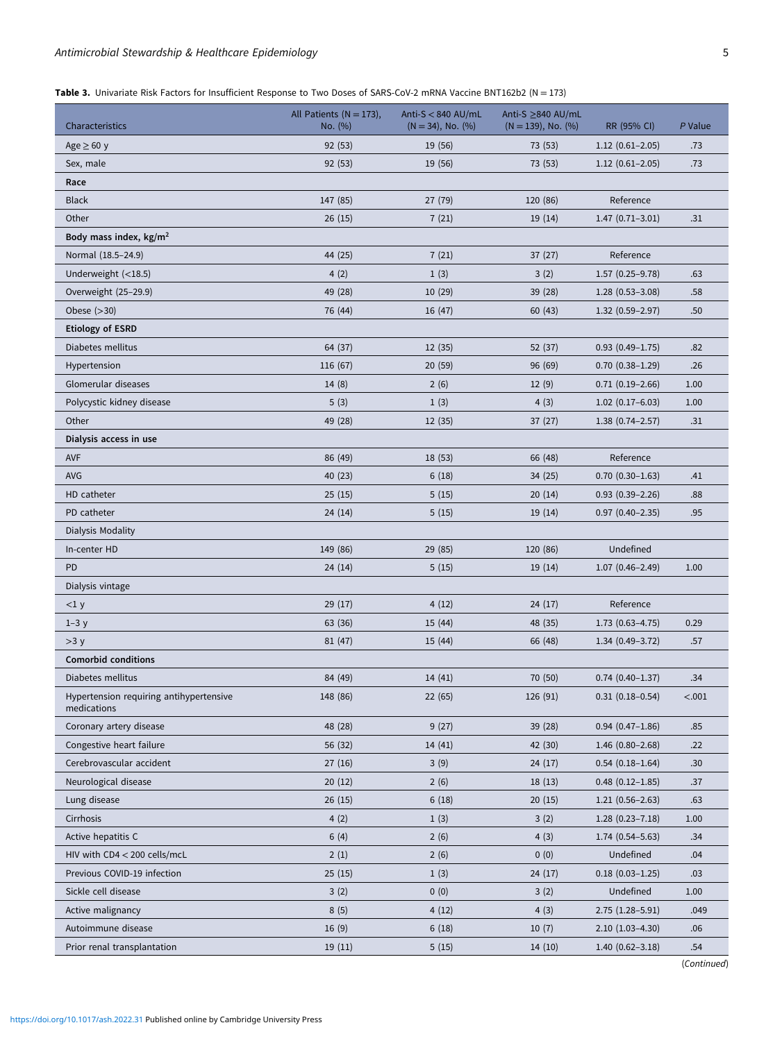# <span id="page-4-0"></span>Antimicrobial Stewardship & Healthcare Epidemiology **5** 5

| Table 3. Univariate Risk Factors for Insufficient Response to Two Doses of SARS-CoV-2 mRNA Vaccine BNT162b2 (N = 173) |  |
|-----------------------------------------------------------------------------------------------------------------------|--|
|-----------------------------------------------------------------------------------------------------------------------|--|

| Characteristics                                        | All Patients ( $N = 173$ ),<br>No. (%) | Anti-S $<$ 840 AU/mL<br>$(N = 34)$ , No. $(\%)$ | Anti-S ≥840 AU/mL<br>$(N = 139)$ , No. $(\%)$ | RR (95% CI)         | P Value          |
|--------------------------------------------------------|----------------------------------------|-------------------------------------------------|-----------------------------------------------|---------------------|------------------|
| Age $\geq 60$ y                                        | 92(53)                                 | 19 (56)                                         | 73 (53)                                       | $1.12(0.61-2.05)$   | .73              |
| Sex, male                                              | 92(53)                                 | 19 (56)                                         | 73 (53)                                       | $1.12(0.61 - 2.05)$ | .73              |
| Race                                                   |                                        |                                                 |                                               |                     |                  |
| <b>Black</b>                                           | 147 (85)                               | 27 (79)                                         | 120 (86)                                      | Reference           |                  |
| Other                                                  | 26(15)                                 | 7(21)                                           | 19(14)                                        | $1.47(0.71-3.01)$   | .31              |
| Body mass index, $kg/m2$                               |                                        |                                                 |                                               |                     |                  |
| Normal (18.5-24.9)                                     | 44 (25)                                | 7(21)                                           | 37(27)                                        | Reference           |                  |
| Underweight $(<18.5)$                                  | 4(2)                                   | 1(3)                                            | 3(2)                                          | $1.57(0.25 - 9.78)$ | .63              |
| Overweight (25-29.9)                                   | 49 (28)                                | 10(29)                                          | 39 (28)                                       | $1.28(0.53 - 3.08)$ | .58              |
| Obese $(>30)$                                          | 76 (44)                                | 16 (47)                                         | 60(43)                                        | $1.32(0.59 - 2.97)$ | .50              |
| <b>Etiology of ESRD</b>                                |                                        |                                                 |                                               |                     |                  |
| Diabetes mellitus                                      | 64 (37)                                | 12(35)                                          | 52 (37)                                       | $0.93(0.49 - 1.75)$ | .82              |
| Hypertension                                           | 116 (67)                               | 20(59)                                          | 96 (69)                                       | $0.70(0.38-1.29)$   | .26              |
| Glomerular diseases                                    | 14(8)                                  | 2(6)                                            | 12(9)                                         | $0.71(0.19-2.66)$   | 1.00             |
| Polycystic kidney disease                              | 5(3)                                   | 1(3)                                            | 4(3)                                          | $1.02(0.17-6.03)$   | 1.00             |
| Other                                                  | 49 (28)                                | 12(35)                                          | 37(27)                                        | $1.38(0.74 - 2.57)$ | .31              |
| Dialysis access in use                                 |                                        |                                                 |                                               |                     |                  |
| <b>AVF</b>                                             | 86 (49)                                | 18(53)                                          | 66 (48)                                       | Reference           |                  |
| AVG                                                    | 40(23)                                 | 6(18)                                           | 34 (25)                                       | $0.70(0.30-1.63)$   | .41              |
| HD catheter                                            | 25(15)                                 | 5(15)                                           | 20(14)                                        | $0.93(0.39 - 2.26)$ | .88              |
| PD catheter                                            | 24(14)                                 | 5(15)                                           | 19(14)                                        | $0.97(0.40 - 2.35)$ | .95              |
| Dialysis Modality                                      |                                        |                                                 |                                               |                     |                  |
| In-center HD                                           | 149 (86)                               | 29 (85)                                         | 120 (86)                                      | Undefined           |                  |
| PD                                                     | 24(14)                                 | 5(15)                                           | 19(14)                                        | $1.07(0.46 - 2.49)$ | 1.00             |
| Dialysis vintage                                       |                                        |                                                 |                                               |                     |                  |
| <1 y                                                   | 29(17)                                 | 4(12)                                           | 24(17)                                        | Reference           |                  |
| $1-3y$                                                 | 63 (36)                                | 15(44)                                          | 48 (35)                                       | $1.73(0.63 - 4.75)$ | 0.29             |
| >3y                                                    | 81 (47)                                | 15(44)                                          | 66 (48)                                       | $1.34(0.49-3.72)$   | .57              |
| <b>Comorbid conditions</b>                             |                                        |                                                 |                                               |                     |                  |
| Diabetes mellitus                                      | 84 (49)                                | 14(41)                                          | 70 (50)                                       | $0.74(0.40-1.37)$   | .34              |
| Hypertension requiring antihypertensive<br>medications | 148 (86)                               | 22 (65)                                         | 126 (91)                                      | $0.31(0.18-0.54)$   | < .001           |
| Coronary artery disease                                | 48 (28)                                | 9(27)                                           | 39(28)                                        | $0.94(0.47 - 1.86)$ | .85              |
| Congestive heart failure                               | 56 (32)                                | 14(41)                                          | 42 (30)                                       | $1.46(0.80 - 2.68)$ | .22              |
| Cerebrovascular accident                               | 27(16)                                 | 3(9)                                            | 24(17)                                        | $0.54(0.18-1.64)$   | .30 <sub>0</sub> |
| Neurological disease                                   | 20(12)                                 | 2(6)                                            | 18(13)                                        | $0.48(0.12 - 1.85)$ | .37              |
| Lung disease                                           | 26(15)                                 | 6(18)                                           | 20(15)                                        | $1.21(0.56-2.63)$   | .63              |
| Cirrhosis                                              | 4(2)                                   | 1(3)                                            | 3(2)                                          | $1.28(0.23 - 7.18)$ | 1.00             |
| Active hepatitis C                                     | 6(4)                                   | 2(6)                                            | 4(3)                                          | $1.74(0.54 - 5.63)$ | .34              |
| HIV with CD4 < 200 cells/mcL                           | 2(1)                                   | 2(6)                                            | 0(0)                                          | Undefined           | .04              |
| Previous COVID-19 infection                            | 25(15)                                 | 1(3)                                            | 24 (17)                                       | $0.18(0.03-1.25)$   | .03              |
| Sickle cell disease                                    | 3(2)                                   | 0(0)                                            | 3(2)                                          | Undefined           | 1.00             |
| Active malignancy                                      | 8(5)                                   | 4(12)                                           | 4(3)                                          | $2.75(1.28 - 5.91)$ | .049             |
| Autoimmune disease                                     | 16(9)                                  | 6(18)                                           | 10(7)                                         | $2.10(1.03-4.30)$   | .06              |
| Prior renal transplantation                            | 19(11)                                 | 5(15)                                           | 14 (10)                                       | $1.40(0.62 - 3.18)$ | .54              |

<sup>(</sup>Continued)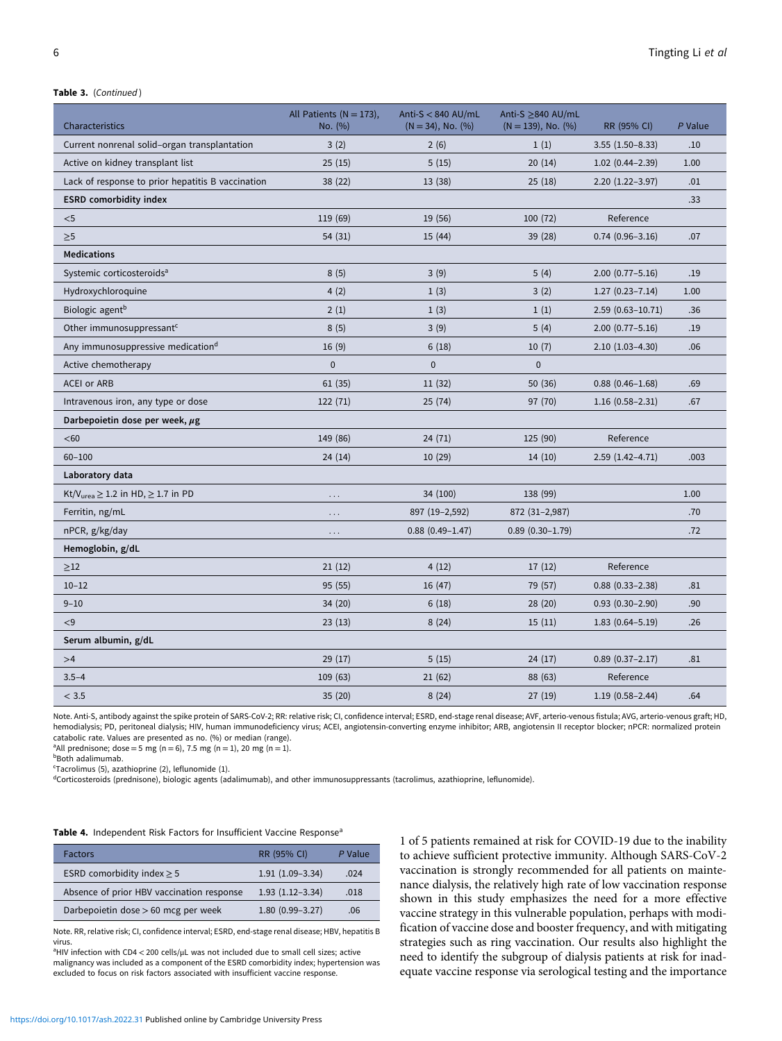#### <span id="page-5-0"></span>Table 3. (Continued)

| Characteristics                                         | All Patients ( $N = 173$ ),<br>No. (%) | Anti-S $<$ 840 AU/mL<br>$(N = 34)$ , No. $(\%)$ | Anti-S ≥840 AU/mL<br>$(N = 139)$ , No. $(\%)$ | RR (95% CI)            | P Value |
|---------------------------------------------------------|----------------------------------------|-------------------------------------------------|-----------------------------------------------|------------------------|---------|
| Current nonrenal solid-organ transplantation            | 3(2)                                   | 2(6)                                            | 1(1)                                          | $3.55(1.50-8.33)$      | .10     |
| Active on kidney transplant list                        | 25(15)                                 | 5(15)                                           | 20(14)                                        | $1.02(0.44 - 2.39)$    | 1.00    |
| Lack of response to prior hepatitis B vaccination       | 38 (22)                                | 13(38)                                          | 25(18)                                        | $2.20(1.22 - 3.97)$    | .01     |
| <b>ESRD</b> comorbidity index                           |                                        |                                                 |                                               |                        | .33     |
| $<$ 5                                                   | 119 (69)                               | 19 (56)                                         | 100 (72)                                      | Reference              |         |
| $\geq 5$                                                | 54 (31)                                | 15(44)                                          | 39(28)                                        | $0.74(0.96 - 3.16)$    | .07     |
| <b>Medications</b>                                      |                                        |                                                 |                                               |                        |         |
| Systemic corticosteroids <sup>a</sup>                   | 8(5)                                   | 3(9)                                            | 5(4)                                          | $2.00(0.77 - 5.16)$    | .19     |
| Hydroxychloroquine                                      | 4(2)                                   | 1(3)                                            | 3(2)                                          | $1.27(0.23 - 7.14)$    | 1.00    |
| Biologic agent <sup>b</sup>                             | 2(1)                                   | 1(3)                                            | 1(1)                                          | $2.59(0.63 - 10.71)$   | .36     |
| Other immunosuppressant <sup>c</sup>                    | 8(5)                                   | 3(9)                                            | 5(4)                                          | $2.00(0.77 - 5.16)$    | .19     |
| Any immunosuppressive medication <sup>d</sup>           | 16(9)                                  | 6(18)                                           | 10(7)                                         | $2.10(1.03-4.30)$      | .06     |
| Active chemotherapy                                     | $\pmb{0}$                              | $\pmb{0}$                                       | $\mathbf 0$                                   |                        |         |
| <b>ACEI or ARB</b>                                      | 61(35)                                 | 11(32)                                          | 50(36)                                        | $0.88(0.46 - 1.68)$    | .69     |
| Intravenous iron, any type or dose                      | 122 (71)                               | 25(74)                                          | 97 (70)                                       | $1.16(0.58 - 2.31)$    | .67     |
| Darbepoietin dose per week, $\mu$ g                     |                                        |                                                 |                                               |                        |         |
| $60$                                                    | 149 (86)                               | 24(71)                                          | 125 (90)                                      | Reference              |         |
| $60 - 100$                                              | 24(14)                                 | 10(29)                                          | 14(10)                                        | $2.59(1.42 - 4.71)$    | .003    |
| Laboratory data                                         |                                        |                                                 |                                               |                        |         |
| Kt/V <sub>urea</sub> $\geq$ 1.2 in HD, $\geq$ 1.7 in PD | $\cdots$                               | 34 (100)                                        | 138 (99)                                      |                        | 1.00    |
| Ferritin, ng/mL                                         |                                        | 897 (19-2,592)                                  | 872 (31-2,987)                                |                        | .70     |
| nPCR, g/kg/day                                          |                                        | $0.88(0.49 - 1.47)$                             | $0.89(0.30-1.79)$                             |                        | .72     |
| Hemoglobin, g/dL                                        |                                        |                                                 |                                               |                        |         |
| $\geq$ 12                                               | 21(12)                                 | 4(12)                                           | 17(12)                                        | Reference              |         |
| $10 - 12$                                               | 95 (55)                                | 16 (47)                                         | 79 (57)                                       | $0.88$ $(0.33 - 2.38)$ | .81     |
| $9 - 10$                                                | 34 (20)                                | 6(18)                                           | 28(20)                                        | $0.93(0.30 - 2.90)$    | .90     |
| < 9                                                     | 23(13)                                 | 8(24)                                           | 15(11)                                        | $1.83(0.64 - 5.19)$    | .26     |
| Serum albumin, g/dL                                     |                                        |                                                 |                                               |                        |         |
| >4                                                      | 29 (17)                                | 5(15)                                           | 24(17)                                        | $0.89(0.37 - 2.17)$    | .81     |
| $3.5 - 4$                                               | 109 (63)                               | 21(62)                                          | 88 (63)                                       | Reference              |         |
| < 3.5                                                   | 35(20)                                 | 8(24)                                           | 27(19)                                        | $1.19(0.58 - 2.44)$    | .64     |

Note. Anti-S, antibody against the spike protein of SARS-CoV-2; RR: relative risk; CI, confidence interval; ESRD, end-stage renal disease; AVF, arterio-venous fistula; AVG, arterio-venous graft; HD, hemodialysis; PD, peritoneal dialysis; HIV, human immunodeficiency virus; ACEI, angiotensin-converting enzyme inhibitor; ARB, angiotensin II receptor blocker; nPCR: normalized protein catabolic rate. Values are presented as no. (%) or median (range). a All prednisone; dose = 5 mg (n = 6), 7.5 mg (n = 1), 20 mg (n = 1).

**b**Both adalimumab.

c Tacrolimus (5), azathioprine (2), leflunomide (1).

dCorticosteroids (prednisone), biologic agents (adalimumab), and other immunosuppressants (tacrolimus, azathioprine, leflunomide).

| Table 4. Independent Risk Factors for Insufficient Vaccine Response <sup>a</sup> |  |
|----------------------------------------------------------------------------------|--|
|----------------------------------------------------------------------------------|--|

| <b>Factors</b>                            | RR (95% CI)         | P Value |
|-------------------------------------------|---------------------|---------|
| ESRD comorbidity index $\geq$ 5           | $1.91(1.09-3.34)$   | .024    |
| Absence of prior HBV vaccination response | $1.93(1.12-3.34)$   | .018    |
| Darbepoietin dose > 60 mcg per week       | $1.80(0.99 - 3.27)$ | .06     |

Note. RR, relative risk; CI, confidence interval; ESRD, end-stage renal disease; HBV, hepatitis B virus.

<sup>a</sup>HIV infection with CD4 < 200 cells/μL was not included due to small cell sizes; active malignancy was included as a component of the ESRD comorbidity index; hypertension was excluded to focus on risk factors associated with insufficient vaccine response.

1 of 5 patients remained at risk for COVID-19 due to the inability to achieve sufficient protective immunity. Although SARS-CoV-2 vaccination is strongly recommended for all patients on maintenance dialysis, the relatively high rate of low vaccination response shown in this study emphasizes the need for a more effective vaccine strategy in this vulnerable population, perhaps with modification of vaccine dose and booster frequency, and with mitigating strategies such as ring vaccination. Our results also highlight the need to identify the subgroup of dialysis patients at risk for inadequate vaccine response via serological testing and the importance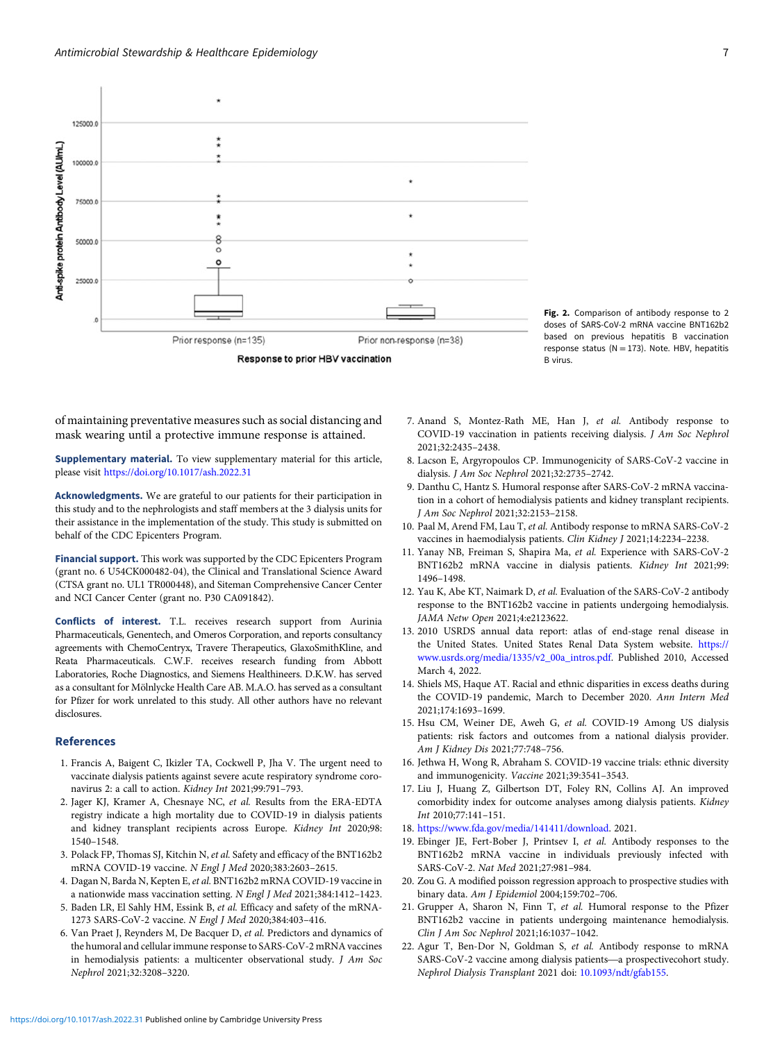<span id="page-6-0"></span>

Fig. 2. Comparison of antibody response to 2 doses of SARS-CoV-2 mRNA vaccine BNT162b2 based on previous hepatitis B vaccination response status ( $N = 173$ ). Note. HBV, hepatitis B virus.

of maintaining preventative measures such as social distancing and mask wearing until a protective immune response is attained.

Supplementary material. To view supplementary material for this article, please visit <https://doi.org/10.1017/ash.2022.31>

Acknowledgments. We are grateful to our patients for their participation in this study and to the nephrologists and staff members at the 3 dialysis units for their assistance in the implementation of the study. This study is submitted on behalf of the CDC Epicenters Program.

Financial support. This work was supported by the CDC Epicenters Program (grant no. 6 U54CK000482-04), the Clinical and Translational Science Award (CTSA grant no. UL1 TR000448), and Siteman Comprehensive Cancer Center and NCI Cancer Center (grant no. P30 CA091842).

Conflicts of interest. T.L. receives research support from Aurinia Pharmaceuticals, Genentech, and Omeros Corporation, and reports consultancy agreements with ChemoCentryx, Travere Therapeutics, GlaxoSmithKline, and Reata Pharmaceuticals. C.W.F. receives research funding from Abbott Laboratories, Roche Diagnostics, and Siemens Healthineers. D.K.W. has served as a consultant for Mölnlycke Health Care AB. M.A.O. has served as a consultant for Pfizer for work unrelated to this study. All other authors have no relevant disclosures.

#### References

- 1. Francis A, Baigent C, Ikizler TA, Cockwell P, Jha V. The urgent need to vaccinate dialysis patients against severe acute respiratory syndrome coronavirus 2: a call to action. Kidney Int 2021;99:791–793.
- 2. Jager KJ, Kramer A, Chesnaye NC, et al. Results from the ERA-EDTA registry indicate a high mortality due to COVID-19 in dialysis patients and kidney transplant recipients across Europe. Kidney Int 2020;98: 1540–1548.
- 3. Polack FP, Thomas SJ, Kitchin N, et al. Safety and efficacy of the BNT162b2 mRNA COVID-19 vaccine. N Engl J Med 2020;383:2603–2615.
- 4. Dagan N, Barda N, Kepten E, et al. BNT162b2 mRNA COVID-19 vaccine in a nationwide mass vaccination setting. N Engl J Med 2021;384:1412–1423.
- 5. Baden LR, El Sahly HM, Essink B, et al. Efficacy and safety of the mRNA-1273 SARS-CoV-2 vaccine. N Engl J Med 2020;384:403–416.
- 6. Van Praet J, Reynders M, De Bacquer D, et al. Predictors and dynamics of the humoral and cellular immune response to SARS-CoV-2 mRNA vaccines in hemodialysis patients: a multicenter observational study. J Am Soc Nephrol 2021;32:3208–3220.
- 7. Anand S, Montez-Rath ME, Han J, et al. Antibody response to COVID-19 vaccination in patients receiving dialysis. J Am Soc Nephrol 2021;32:2435–2438.
- 8. Lacson E, Argyropoulos CP. Immunogenicity of SARS-CoV-2 vaccine in dialysis. J Am Soc Nephrol 2021;32:2735–2742.
- 9. Danthu C, Hantz S. Humoral response after SARS-CoV-2 mRNA vaccination in a cohort of hemodialysis patients and kidney transplant recipients. J Am Soc Nephrol 2021;32:2153–2158.
- 10. Paal M, Arend FM, Lau T, et al. Antibody response to mRNA SARS-CoV-2 vaccines in haemodialysis patients. Clin Kidney J 2021;14:2234–2238.
- 11. Yanay NB, Freiman S, Shapira Ma, et al. Experience with SARS-CoV-2 BNT162b2 mRNA vaccine in dialysis patients. Kidney Int 2021;99: 1496–1498.
- 12. Yau K, Abe KT, Naimark D, et al. Evaluation of the SARS-CoV-2 antibody response to the BNT162b2 vaccine in patients undergoing hemodialysis. JAMA Netw Open 2021;4:e2123622.
- 13. 2010 USRDS annual data report: atlas of end-stage renal disease in the United States. United States Renal Data System website. [https://](https://www.usrds.org/media/1335/v2_00a_intros.pdf) [www.usrds.org/media/1335/v2\\_00a\\_intros.pdf](https://www.usrds.org/media/1335/v2_00a_intros.pdf). Published 2010, Accessed March 4, 2022.
- 14. Shiels MS, Haque AT. Racial and ethnic disparities in excess deaths during the COVID-19 pandemic, March to December 2020. Ann Intern Med 2021;174:1693–1699.
- 15. Hsu CM, Weiner DE, Aweh G, et al. COVID-19 Among US dialysis patients: risk factors and outcomes from a national dialysis provider. Am J Kidney Dis 2021;77:748–756.
- 16. Jethwa H, Wong R, Abraham S. COVID-19 vaccine trials: ethnic diversity and immunogenicity. Vaccine 2021;39:3541–3543.
- 17. Liu J, Huang Z, Gilbertson DT, Foley RN, Collins AJ. An improved comorbidity index for outcome analyses among dialysis patients. Kidney Int 2010;77:141–151.
- 18. [https://www.fda.gov/media/141411/download.](https://www.fda.gov/media/141411/download) 2021.
- 19. Ebinger JE, Fert-Bober J, Printsev I, et al. Antibody responses to the BNT162b2 mRNA vaccine in individuals previously infected with SARS-CoV-2. Nat Med 2021;27:981–984.
- 20. Zou G. A modified poisson regression approach to prospective studies with binary data. Am J Epidemiol 2004;159:702–706.
- 21. Grupper A, Sharon N, Finn T, et al. Humoral response to the Pfizer BNT162b2 vaccine in patients undergoing maintenance hemodialysis.<br>Clin J Am Soc Nephrol 2021;16:1037–1042.<br>Agur T, Ben-Dor N, Goldman S, *et al.* Antibody response to mRNA<br>SARS-CoV-2 vaccine among dialysis patients—a prosp Clin J Am Soc Nephrol 2021;16:1037–1042.
- 22. Agur T, Ben-Dor N, Goldman S, et al. Antibody response to mRNA Nephrol Dialysis Transplant 2021 doi: [10.1093/ndt/gfab155](https://doi.org/10.1093/ndt/gfab155).